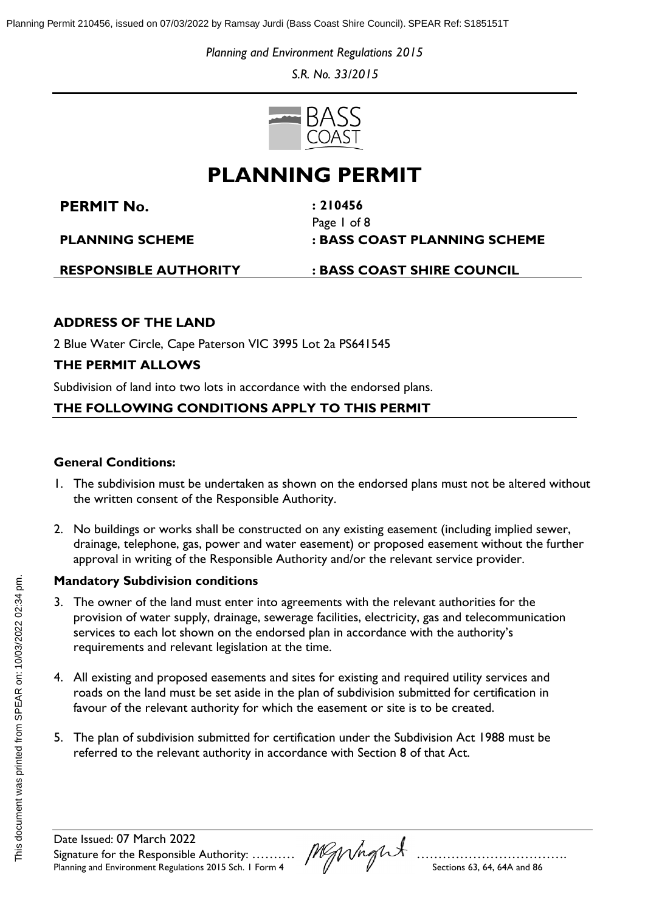*Planning and Environment Regulations 2015*

*S.R. No. 33/2015*



# **PLANNING PERMIT**

**PERMIT No. : [210456](#page-5-0)**

Page 1 of 8 **PLANNING SCHEME : BASS COAST PLANNING SCHEME**

**RESPONSIBLE AUTHORITY : BASS COAST SHIRE COUNCIL**

## **ADDRESS OF THE LAND**

2 Blue Water Circle, Cape Paterson VIC 3995 Lot 2a PS641545

# **THE PERMIT ALLOWS**

Subdivision of land into two lots in accordance with the endorsed plans.

## **THE FOLLOWING CONDITIONS APPLY TO THIS PERMIT**

#### **General Conditions:**

- 1. The subdivision must be undertaken as shown on the endorsed plans must not be altered without the written consent of the Responsible Authority.
- 2. No buildings or works shall be constructed on any existing easement (including implied sewer, drainage, telephone, gas, power and water easement) or proposed easement without the further approval in writing of the Responsible Authority and/or the relevant service provider.

### **Mandatory Subdivision conditions**

- 3. The owner of the land must enter into agreements with the relevant authorities for the provision of water supply, drainage, sewerage facilities, electricity, gas and telecommunication services to each lot shown on the endorsed plan in accordance with the authority's requirements and relevant legislation at the time.
- 4. All existing and proposed easements and sites for existing and required utility services and roads on the land must be set aside in the plan of subdivision submitted for certification in favour of the relevant authority for which the easement or site is to be created.
- 5. The plan of subdivision submitted for certification under the Subdivision Act 1988 must be referred to the relevant authority in accordance with Section 8 of that Act.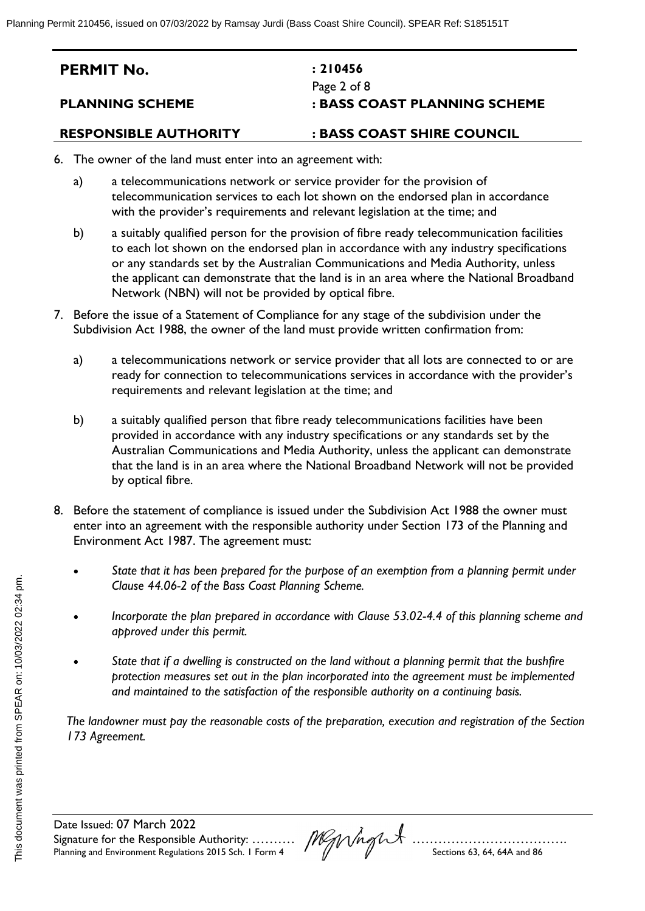| <b>PERMIT No.</b>      | : 210456                     |
|------------------------|------------------------------|
|                        | Page 2 of 8                  |
| <b>PLANNING SCHEME</b> | : BASS COAST PLANNING SCHEME |
|                        |                              |

- 6. The owner of the land must enter into an agreement with:
	- a) a telecommunications network or service provider for the provision of telecommunication services to each lot shown on the endorsed plan in accordance with the provider's requirements and relevant legislation at the time; and
	- b) a suitably qualified person for the provision of fibre ready telecommunication facilities to each lot shown on the endorsed plan in accordance with any industry specifications or any standards set by the Australian Communications and Media Authority, unless the applicant can demonstrate that the land is in an area where the National Broadband Network (NBN) will not be provided by optical fibre.
- 7. Before the issue of a Statement of Compliance for any stage of the subdivision under the Subdivision Act 1988, the owner of the land must provide written confirmation from:
	- a) a telecommunications network or service provider that all lots are connected to or are ready for connection to telecommunications services in accordance with the provider's requirements and relevant legislation at the time; and
	- b) a suitably qualified person that fibre ready telecommunications facilities have been provided in accordance with any industry specifications or any standards set by the Australian Communications and Media Authority, unless the applicant can demonstrate that the land is in an area where the National Broadband Network will not be provided by optical fibre.
- 8. Before the statement of compliance is issued under the Subdivision Act 1988 the owner must enter into an agreement with the responsible authority under Section 173 of the Planning and Environment Act 1987. The agreement must:
	- *State that it has been prepared for the purpose of an exemption from a planning permit under Clause 44.06-2 of the Bass Coast Planning Scheme.*
	- *Incorporate the plan prepared in accordance with Clause 53.02-4.4 of this planning scheme and approved under this permit.*
	- *State that if a dwelling is constructed on the land without a planning permit that the bushfire protection measures set out in the plan incorporated into the agreement must be implemented and maintained to the satisfaction of the responsible authority on a continuing basis.*

*The landowner must pay the reasonable costs of the preparation, execution and registration of the Section 173 Agreement.*

Date Issued: [07 March 2022](#page-5-1) Signature for the Responsible Authority: …………… $\textit{JNN}$ Planning and Environment Regulations 2015 Sch. 1 Form 4  $\mathcal{N}$   $\mathcal{N}$   $\mathcal{N}$  Sections 63, 64, 64A and 86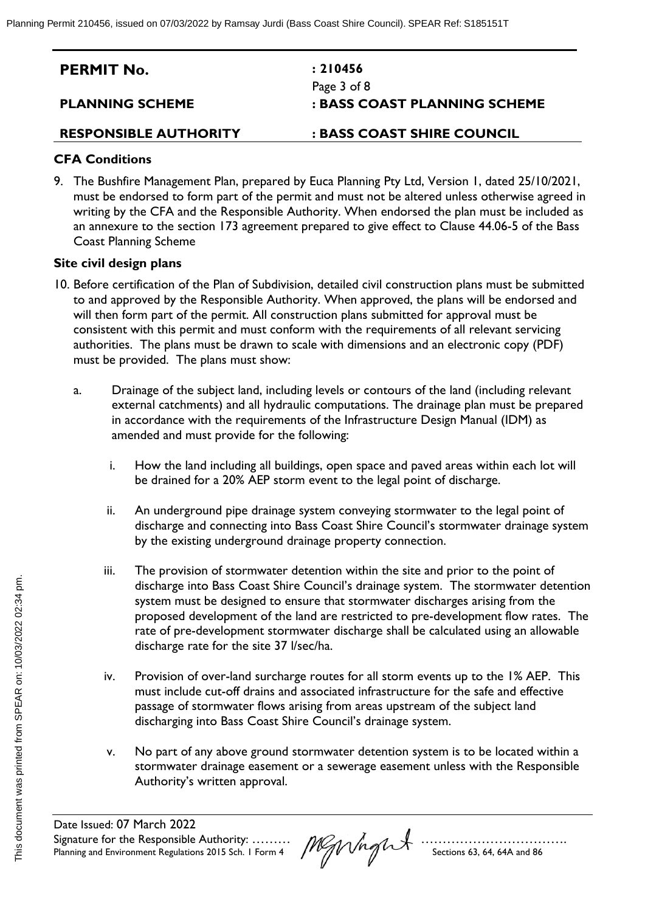| <b>PERMIT No.</b>      | : 210456                     |
|------------------------|------------------------------|
|                        | Page 3 of 8                  |
| <b>PLANNING SCHEME</b> | : BASS COAST PLANNING SCHEME |

#### **CFA Conditions**

9. The Bushfire Management Plan, prepared by Euca Planning Pty Ltd, Version 1, dated 25/10/2021, must be endorsed to form part of the permit and must not be altered unless otherwise agreed in writing by the CFA and the Responsible Authority. When endorsed the plan must be included as an annexure to the section 173 agreement prepared to give effect to Clause 44.06-5 of the Bass Coast Planning Scheme

#### **Site civil design plans**

- 10. Before certification of the Plan of Subdivision, detailed civil construction plans must be submitted to and approved by the Responsible Authority. When approved, the plans will be endorsed and will then form part of the permit. All construction plans submitted for approval must be consistent with this permit and must conform with the requirements of all relevant servicing authorities. The plans must be drawn to scale with dimensions and an electronic copy (PDF) must be provided. The plans must show:
	- a. Drainage of the subject land, including levels or contours of the land (including relevant external catchments) and all hydraulic computations. The drainage plan must be prepared in accordance with the requirements of the Infrastructure Design Manual (IDM) as amended and must provide for the following:
		- i. How the land including all buildings, open space and paved areas within each lot will be drained for a 20% AEP storm event to the legal point of discharge.
		- ii. An underground pipe drainage system conveying stormwater to the legal point of discharge and connecting into Bass Coast Shire Council's stormwater drainage system by the existing underground drainage property connection.
		- iii. The provision of stormwater detention within the site and prior to the point of discharge into Bass Coast Shire Council's drainage system. The stormwater detention system must be designed to ensure that stormwater discharges arising from the proposed development of the land are restricted to pre-development flow rates. The rate of pre-development stormwater discharge shall be calculated using an allowable discharge rate for the site 37 l/sec/ha.
		- iv. Provision of over-land surcharge routes for all storm events up to the 1% AEP. This must include cut-off drains and associated infrastructure for the safe and effective passage of stormwater flows arising from areas upstream of the subject land discharging into Bass Coast Shire Council's drainage system.
		- v. No part of any above ground stormwater detention system is to be located within a stormwater drainage easement or a sewerage easement unless with the Responsible Authority's written approval.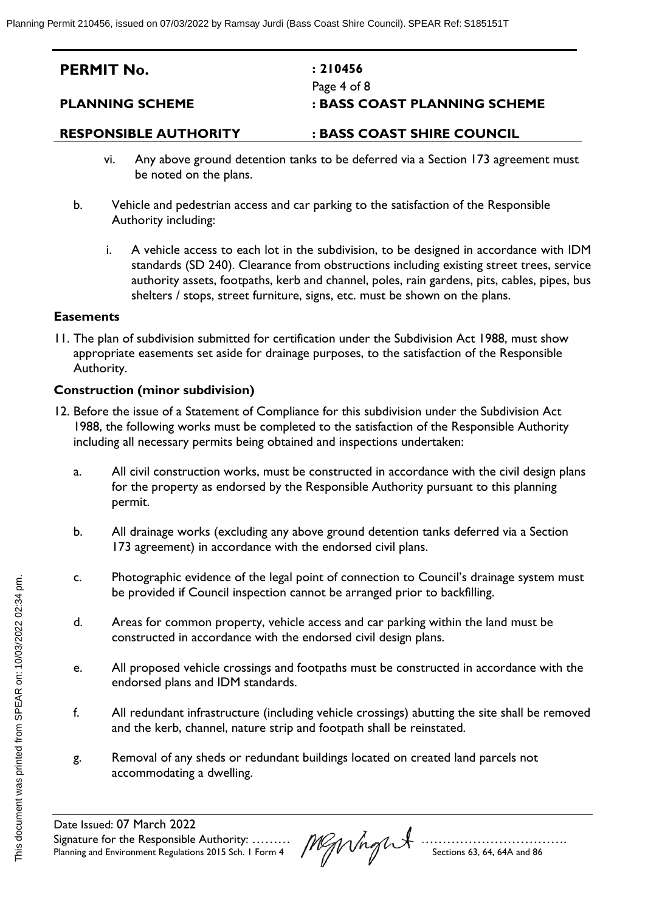| <b>PERMIT No.</b>      | : 210456                     |
|------------------------|------------------------------|
|                        | Page 4 of 8                  |
| <b>PLANNING SCHEME</b> | : BASS COAST PLANNING SCHEME |

- vi. Any above ground detention tanks to be deferred via a Section 173 agreement must be noted on the plans.
- b. Vehicle and pedestrian access and car parking to the satisfaction of the Responsible Authority including:
	- i. A vehicle access to each lot in the subdivision, to be designed in accordance with IDM standards (SD 240). Clearance from obstructions including existing street trees, service authority assets, footpaths, kerb and channel, poles, rain gardens, pits, cables, pipes, bus shelters / stops, street furniture, signs, etc. must be shown on the plans.

#### **Easements**

11. The plan of subdivision submitted for certification under the Subdivision Act 1988, must show appropriate easements set aside for drainage purposes, to the satisfaction of the Responsible Authority.

#### **Construction (minor subdivision)**

- 12. Before the issue of a Statement of Compliance for this subdivision under the Subdivision Act 1988, the following works must be completed to the satisfaction of the Responsible Authority including all necessary permits being obtained and inspections undertaken:
	- a. All civil construction works, must be constructed in accordance with the civil design plans for the property as endorsed by the Responsible Authority pursuant to this planning permit.
	- b. All drainage works (excluding any above ground detention tanks deferred via a Section 173 agreement) in accordance with the endorsed civil plans.
	- c. Photographic evidence of the legal point of connection to Council's drainage system must be provided if Council inspection cannot be arranged prior to backfilling.
	- d. Areas for common property, vehicle access and car parking within the land must be constructed in accordance with the endorsed civil design plans.
	- e. All proposed vehicle crossings and footpaths must be constructed in accordance with the endorsed plans and IDM standards.
	- f. All redundant infrastructure (including vehicle crossings) abutting the site shall be removed and the kerb, channel, nature strip and footpath shall be reinstated.
	- g. Removal of any sheds or redundant buildings located on created land parcels not accommodating a dwelling.

Date Issued: [07 March 2022](#page-5-1) Signature for the Responsible Authority: ………………………………………………………………. Planning and Environment Regulations 2015 Sch. 1 Form 4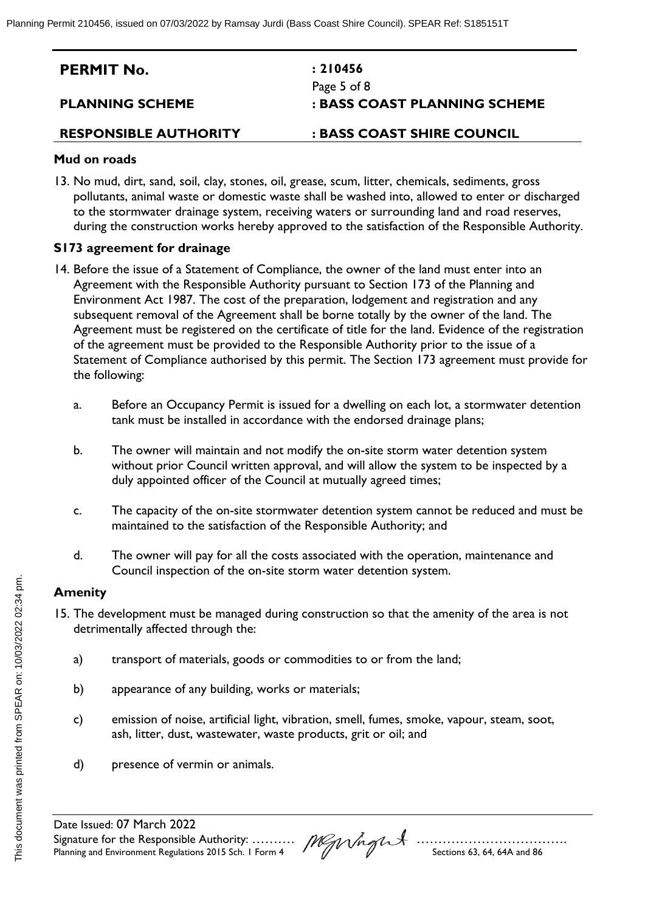| <b>PERMIT No.</b>            | : 210456                     |
|------------------------------|------------------------------|
|                              | Page 5 of 8                  |
| <b>PLANNING SCHEME</b>       | : BASS COAST PLANNING SCHEME |
| <b>RESPONSIBLE AUTHORITY</b> | : BASS COAST SHIRE COUNCIL   |

#### **Mud on roads**

13. No mud, dirt, sand, soil, clay, stones, oil, grease, scum, litter, chemicals, sediments, gross pollutants, animal waste or domestic waste shall be washed into, allowed to enter or discharged to the stormwater drainage system, receiving waters or surrounding land and road reserves, during the construction works hereby approved to the satisfaction of the Responsible Authority.

#### **S173 agreement for drainage**

- 14. Before the issue of a Statement of Compliance, the owner of the land must enter into an Agreement with the Responsible Authority pursuant to Section 173 of the Planning and Environment Act 1987. The cost of the preparation, lodgement and registration and any subsequent removal of the Agreement shall be borne totally by the owner of the land. The Agreement must be registered on the certificate of title for the land. Evidence of the registration of the agreement must be provided to the Responsible Authority prior to the issue of a Statement of Compliance authorised by this permit. The Section 173 agreement must provide for the following:
	- a. Before an Occupancy Permit is issued for a dwelling on each lot, a stormwater detention tank must be installed in accordance with the endorsed drainage plans;
	- b. The owner will maintain and not modify the on-site storm water detention system without prior Council written approval, and will allow the system to be inspected by a duly appointed officer of the Council at mutually agreed times;
	- c. The capacity of the on-site stormwater detention system cannot be reduced and must be maintained to the satisfaction of the Responsible Authority; and
	- d. The owner will pay for all the costs associated with the operation, maintenance and Council inspection of the on-site storm water detention system.

#### **Amenity**

- 15. The development must be managed during construction so that the amenity of the area is not detrimentally affected through the:
	- a) transport of materials, goods or commodities to or from the land;
	- b) appearance of any building, works or materials;
	- c) emission of noise, artificial light, vibration, smell, fumes, smoke, vapour, steam, soot, ash, litter, dust, wastewater, waste products, grit or oil; and
	- d) presence of vermin or animals.

Date Issued: [07 March 2022](#page-5-1) Signature for the Responsible Authority: ………………………………………………………………. Planning and Environment Regulations 2015 Sch. 1 Form 4  $\mathcal{N}$   $\mathcal{N}$   $\mathcal{N}$  Sections 63, 64, 64A and 86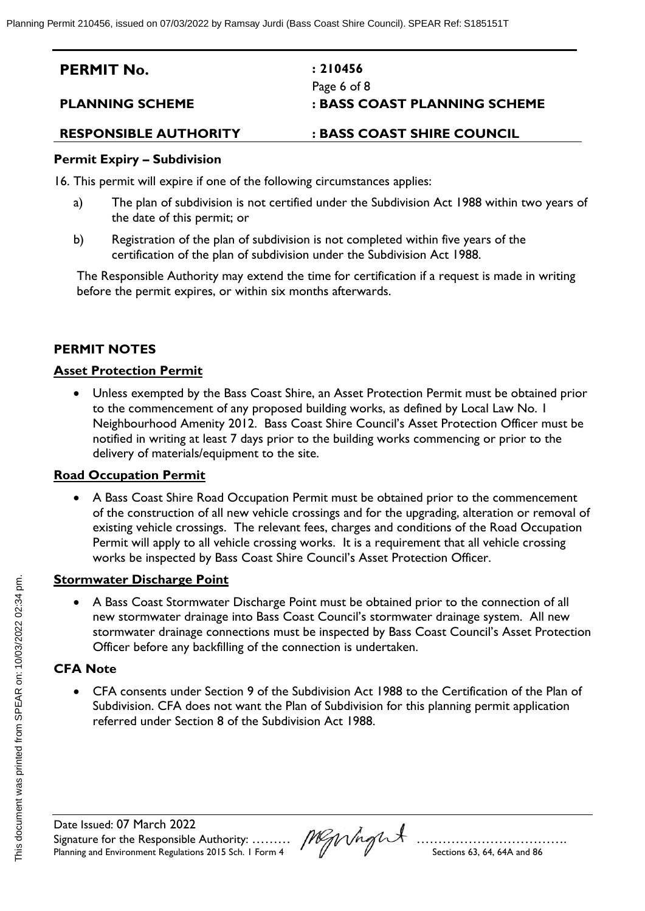| <b>PERMIT No.</b>      | : 210456                     |
|------------------------|------------------------------|
|                        | Page 6 of 8                  |
| <b>PLANNING SCHEME</b> | : BASS COAST PLANNING SCHEME |
|                        |                              |

#### **Permit Expiry – Subdivision**

16. This permit will expire if one of the following circumstances applies:

- a) The plan of subdivision is not certified under the Subdivision Act 1988 within two years of the date of this permit; or
- b) Registration of the plan of subdivision is not completed within five years of the certification of the plan of subdivision under the Subdivision Act 1988.

The Responsible Authority may extend the time for certification if a request is made in writing before the permit expires, or within six months afterwards.

#### **PERMIT NOTES**

#### **Asset Protection Permit**

 Unless exempted by the Bass Coast Shire, an Asset Protection Permit must be obtained prior to the commencement of any proposed building works, as defined by Local Law No. 1 Neighbourhood Amenity 2012. Bass Coast Shire Council's Asset Protection Officer must be notified in writing at least 7 days prior to the building works commencing or prior to the delivery of materials/equipment to the site.

#### **Road Occupation Permit**

 A Bass Coast Shire Road Occupation Permit must be obtained prior to the commencement of the construction of all new vehicle crossings and for the upgrading, alteration or removal of existing vehicle crossings. The relevant fees, charges and conditions of the Road Occupation Permit will apply to all vehicle crossing works. It is a requirement that all vehicle crossing works be inspected by Bass Coast Shire Council's Asset Protection Officer.

#### **Stormwater Discharge Point**

 A Bass Coast Stormwater Discharge Point must be obtained prior to the connection of all new stormwater drainage into Bass Coast Council's stormwater drainage system. All new stormwater drainage connections must be inspected by Bass Coast Council's Asset Protection Officer before any backfilling of the connection is undertaken.

#### **CFA Note**

<span id="page-5-1"></span> CFA consents under Section 9 of the Subdivision Act 1988 to the Certification of the Plan of Subdivision. CFA does not want the Plan of Subdivision for this planning permit application referred under Section 8 of the Subdivision Act 1988.

<span id="page-5-0"></span>Date Issued: [07 March 2022](#page-5-1) Signature for the Responsible Authority: ………………………………………………………………. Planning and Environment Regulations 2015 Sch. 1 Form 4  $\mathcal{N}$   $\mathcal{N}$  Sections 63, 64, 64A and 86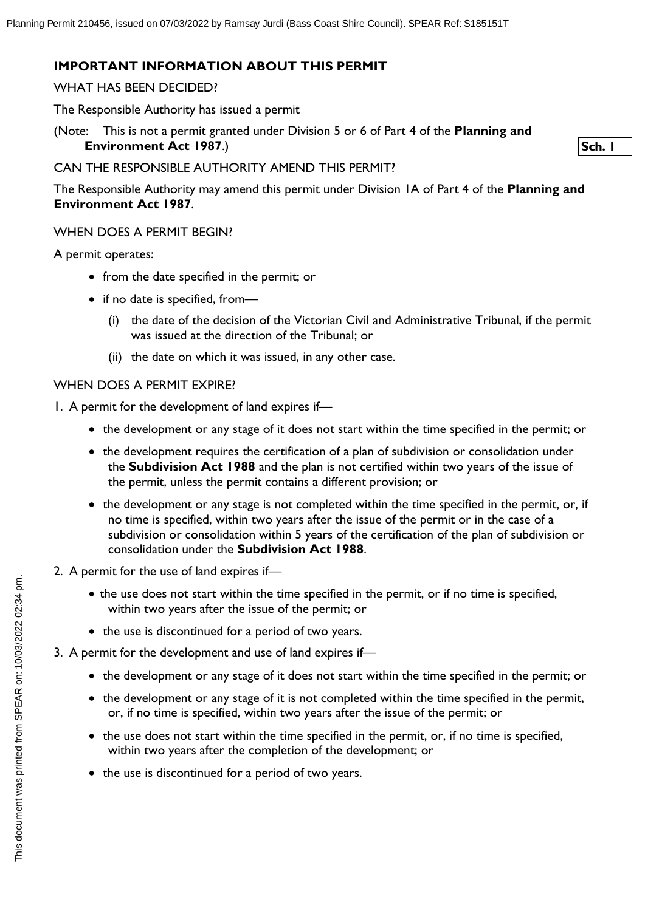### **IMPORTANT INFORMATION ABOUT THIS PERMIT**

#### WHAT HAS BEEN DECIDED?

The Responsible Authority has issued a permit

(Note: This is not a permit granted under Division 5 or 6 of Part 4 of the **Planning and Environment Act 1987**.)

**Sch. 1**

# CAN THE RESPONSIBLE AUTHORITY AMEND THIS PERMIT?

The Responsible Authority may amend this permit under Division 1A of Part 4 of the **Planning and Environment Act 1987**.

# WHEN DOES A PERMIT BEGIN?

A permit operates:

- from the date specified in the permit; or
- if no date is specified, from-
	- (i) the date of the decision of the Victorian Civil and Administrative Tribunal, if the permit was issued at the direction of the Tribunal; or
	- (ii) the date on which it was issued, in any other case.

# WHEN DOES A PERMIT EXPIRE?

1. A permit for the development of land expires if—

- the development or any stage of it does not start within the time specified in the permit; or
- the development requires the certification of a plan of subdivision or consolidation under the **Subdivision Act 1988** and the plan is not certified within two years of the issue of the permit, unless the permit contains a different provision; or
- the development or any stage is not completed within the time specified in the permit, or, if no time is specified, within two years after the issue of the permit or in the case of a subdivision or consolidation within 5 years of the certification of the plan of subdivision or consolidation under the **Subdivision Act 1988**.
- 2. A permit for the use of land expires if—
	- the use does not start within the time specified in the permit, or if no time is specified, within two years after the issue of the permit; or
	- the use is discontinued for a period of two years.
- 3. A permit for the development and use of land expires if—
	- the development or any stage of it does not start within the time specified in the permit; or
	- the development or any stage of it is not completed within the time specified in the permit, or, if no time is specified, within two years after the issue of the permit; or
	- the use does not start within the time specified in the permit, or, if no time is specified, within two years after the completion of the development; or
	- the use is discontinued for a period of two years.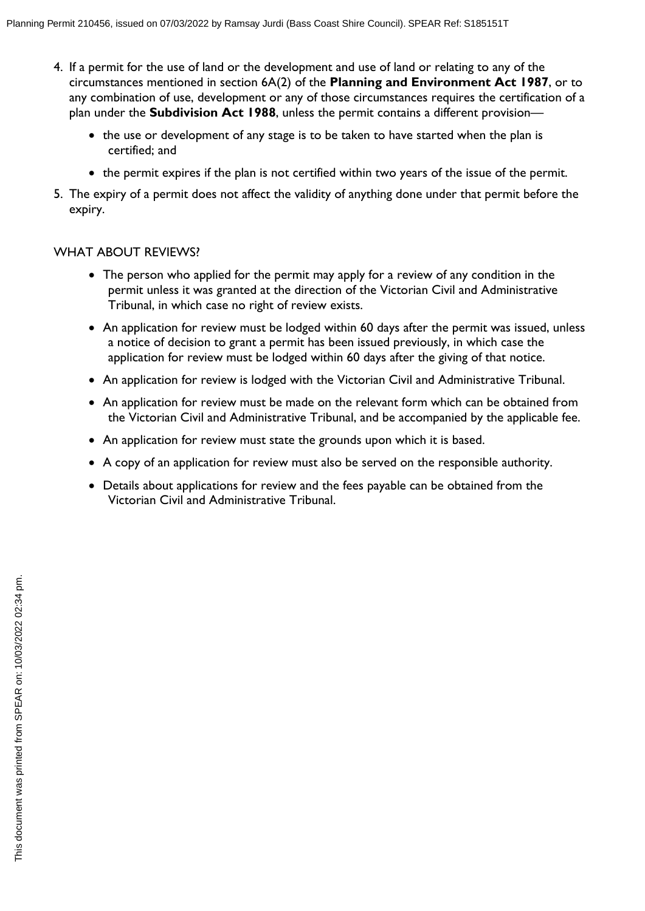- 4. If a permit for the use of land or the development and use of land or relating to any of the circumstances mentioned in section 6A(2) of the **Planning and Environment Act 1987**, or to any combination of use, development or any of those circumstances requires the certification of a plan under the **Subdivision Act 1988**, unless the permit contains a different provision—
	- the use or development of any stage is to be taken to have started when the plan is certified; and
	- the permit expires if the plan is not certified within two years of the issue of the permit.
- 5. The expiry of a permit does not affect the validity of anything done under that permit before the expiry.

#### WHAT ABOUT REVIEWS?

- The person who applied for the permit may apply for a review of any condition in the permit unless it was granted at the direction of the Victorian Civil and Administrative Tribunal, in which case no right of review exists.
- An application for review must be lodged within 60 days after the permit was issued, unless a notice of decision to grant a permit has been issued previously, in which case the application for review must be lodged within 60 days after the giving of that notice.
- An application for review is lodged with the Victorian Civil and Administrative Tribunal.
- An application for review must be made on the relevant form which can be obtained from the Victorian Civil and Administrative Tribunal, and be accompanied by the applicable fee.
- An application for review must state the grounds upon which it is based.
- A copy of an application for review must also be served on the responsible authority.
- Details about applications for review and the fees payable can be obtained from the Victorian Civil and Administrative Tribunal.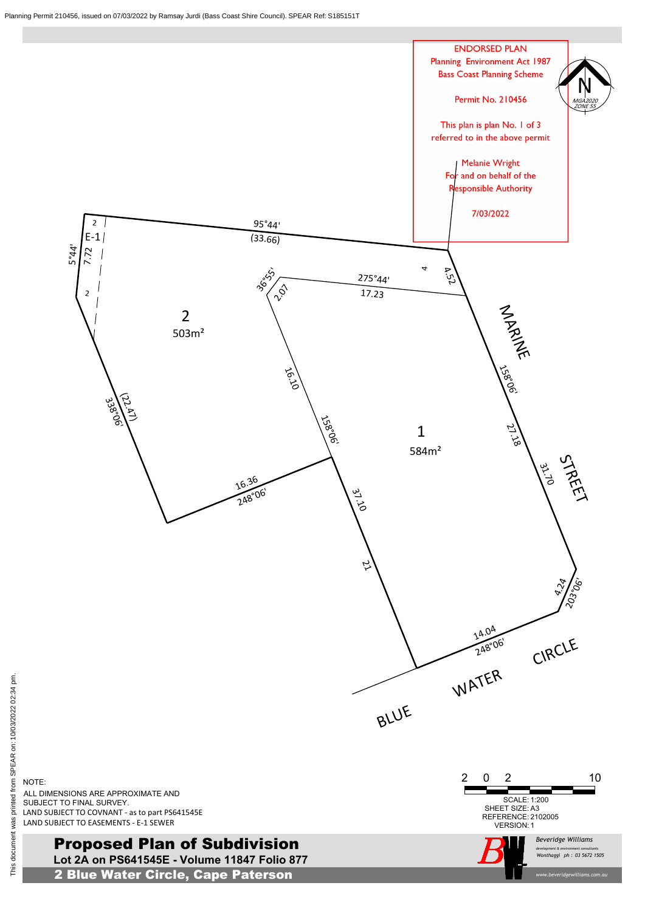**Lot 2A on PS641545E - Volume 11847 Folio 877** Proposed Plan of Subdivision

2 Blue Water Circle, Cape Paterson

*Beveridge Williams*

*www.beveridgewilliams.com.au*

# NOTE: ALL DIMENSIONS ARE APPROXIMATE AND SUBJECT TO FINAL SURVEY.

*development & environment consultants ph : Wonthaggi 03 5672 1505*





ξ.



LAND SUBJECT TO EASEMENTS - E-1 SEWER LAND SUBJECT TO COVNANT - as to part PS641545E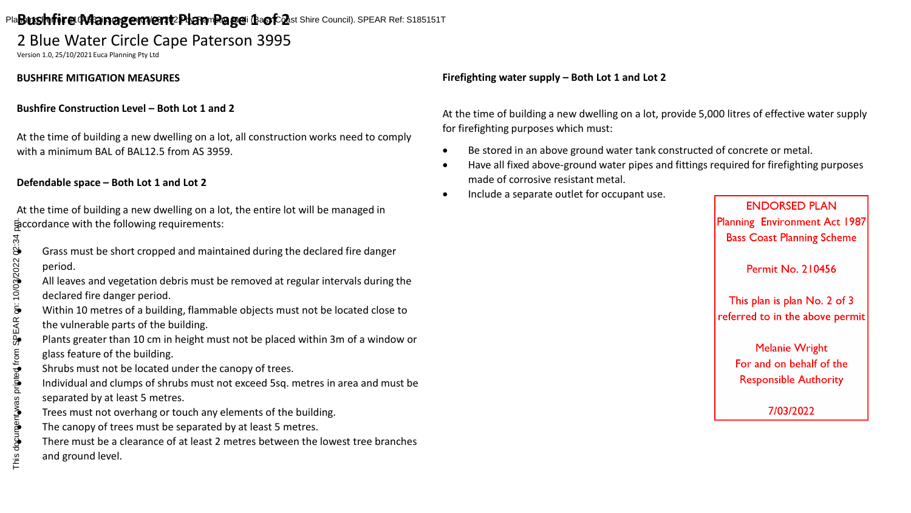# Pla**Bushfire Management Plan Page** i Baof Qst Shire Council). SPEAR Ref: S185151T

# 2 Blue Water Circle Cape Paterson 3995

Version 1.0, 25/10/2021 Euca Planning Pty Ltd

# **BUSHFIRE MITIGATION MEASURES**

## **Bushfire Construction Level – Both Lot 1 and 2**

At the time of building a new dwelling on a lot, all construction works need to comply with a minimum BAL of BAL12.5 from AS 3959.

# **Defendable space – Both Lot 1 and Lot 2**

At the time of building a new dwelling on a lot, the entire lot will be managed in accordance with the following requirements:

- period.
- All leaves and vegetation debris must be removed at regular intervals during the declared fire danger period.
- Within 10 metres of a building, flammable objects must not be located close to the vulnerable parts of the building.
- Plants greater than 10 cm in height must not be placed within 3m of a window or glass feature of the building. This document was printed from SPEAR on: 10/03/2022 02:34 pm.
- Shrubs must not be located under the canopy of trees.
- Individual and clumps of shrubs must not exceed 5sq. metres in area and must be separated by at least 5 metres.
- Trees must not overhang or touch any elements of the building.
- The canopy of trees must be separated by at least 5 metres.
- Frass must be short cropped and maintained during the declared fire danger<br>period.<br>All leaves and vegetation debris must be removed at regular intervals during t<br>declared fire danger period.<br>Within 10 metres of a building • There must be a clearance of at least 2 metres between the lowest tree branches and ground level.

# **Firefighting water supply – Both Lot 1 and Lot 2**

At the time of building a new dwelling on a lot, provide 5,000 litres of effective water supply for firefighting purposes which must:

- Be stored in an above ground water tank constructed of concrete or metal.
- Have all fixed above-ground water pipes and fittings required for firefighting purposes made of corrosive resistant metal.
- Include a separate outlet for occupant use.

**ENDORSED PLAN** Planning Environment Act 1987 **Bass Coast Planning Scheme** 

**Permit No. 210456** 

This plan is plan No. 2 of 3 referred to in the above permit

> **Melanie Wright** For and on behalf of the **Responsible Authority**

> > 7/03/2022